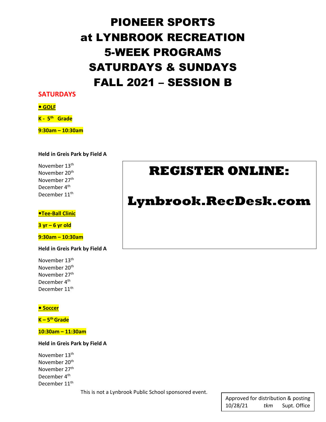# PIONEER SPORTS at LYNBROOK RECREATION 5-WEEK PROGRAMS SATURDAYS & SUNDAYS FALL 2021 – SESSION B

### **SATURDAYS**

#### **GOLF**

**K - 5th Grade**

**9:30am – 10:30am** 

#### **Held in Greis Park by Field A**

November 13<sup>th</sup> November 20<sup>th</sup> November 27th December 4<sup>th</sup> December 11<sup>th</sup>

### *<u>•Tee-Ball Clinic</u>*

**3 yr – 6 yr old**

**9:30am – 10:30am**

**Held in Greis Park by Field A**

November 13th November 20th November 27th December 4<sup>th</sup> December 11<sup>th</sup>

### **• Soccer**

**K – 5th Grade**

**10:30am – 11:30am**

**Held in Greis Park by Field A**

November 13th November 20<sup>th</sup> November 27<sup>th</sup> December 4<sup>th</sup> December 11<sup>th</sup>

This is not a Lynbrook Public School sponsored event.

## **REGISTER ONLINE:**

## **Lynbrook.RecDesk.com**